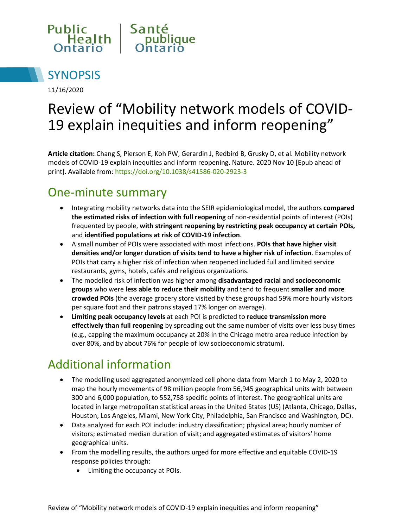



11/16/2020

# Review of "Mobility network models of COVID-19 explain inequities and inform reopening"

**Article citation:** Chang S, Pierson E, Koh PW, Gerardin J, Redbird B, Grusky D, et al. Mobility network models of COVID-19 explain inequities and inform reopening. Nature. 2020 Nov 10 [Epub ahead of print]. Available from[: https://doi.org/10.1038/s41586-020-2923-3](https://doi.org/10.1038/s41586-020-2923-3)

#### One-minute summary

- Integrating mobility networks data into the SEIR epidemiological model, the authors **compared the estimated risks of infection with full reopening** of non-residential points of interest (POIs) frequented by people, **with stringent reopening by restricting peak occupancy at certain POIs,**  and **identified populations at risk of COVID-19 infection**.
- A small number of POIs were associated with most infections. **POIs that have higher visit densities and/or longer duration of visits tend to have a higher risk of infection**. Examples of POIs that carry a higher risk of infection when reopened included full and limited service restaurants, gyms, hotels, cafés and religious organizations.
- The modelled risk of infection was higher among **disadvantaged racial and socioeconomic groups** who were **less able to reduce their mobility** and tend to frequent **smaller and more crowded POIs** (the average grocery store visited by these groups had 59% more hourly visitors per square foot and their patrons stayed 17% longer on average).
- **Limiting peak occupancy levels** at each POI is predicted to **reduce transmission more effectively than full reopening** by spreading out the same number of visits over less busy times (e.g., capping the maximum occupancy at 20% in the Chicago metro area reduce infection by over 80%, and by about 76% for people of low socioeconomic stratum).

# Additional information

- The modelling used aggregated anonymized cell phone data from March 1 to May 2, 2020 to map the hourly movements of 98 million people from 56,945 geographical units with between 300 and 6,000 population, to 552,758 specific points of interest. The geographical units are located in large metropolitan statistical areas in the United States (US) (Atlanta, Chicago, Dallas, Houston, Los Angeles, Miami, New York City, Philadelphia, San Francisco and Washington, DC).
- Data analyzed for each POI include: industry classification; physical area; hourly number of visitors; estimated median duration of visit; and aggregated estimates of visitors' home geographical units.
- From the modelling results, the authors urged for more effective and equitable COVID-19 response policies through:
	- Limiting the occupancy at POIs.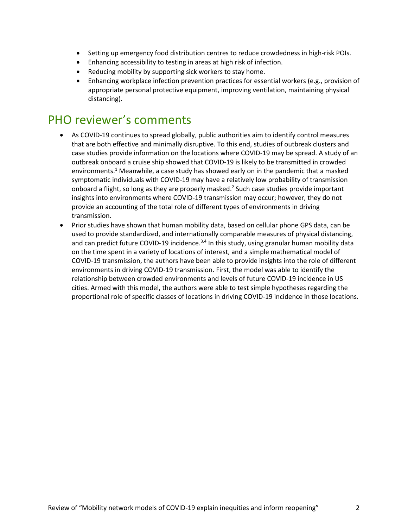- Setting up emergency food distribution centres to reduce crowdedness in high-risk POIs.
- Enhancing accessibility to testing in areas at high risk of infection.
- Reducing mobility by supporting sick workers to stay home.
- Enhancing workplace infection prevention practices for essential workers (e.g., provision of appropriate personal protective equipment, improving ventilation, maintaining physical distancing).

### PHO reviewer's comments

- As COVID-19 continues to spread globally, public authorities aim to identify control measures that are both effective and minimally disruptive. To this end, studies of outbreak clusters and case studies provide information on the locations where COVID-19 may be spread. A study of an outbreak onboard a cruise ship showed that COVID-19 is likely to be transmitted in crowded environments.<sup>1</sup> Meanwhile, a case study has showed early on in the pandemic that a masked symptomatic individuals with COVID-19 may have a relatively low probability of transmission onboard a flight, so long as they are properly masked.2 Such case studies provide important insights into environments where COVID-19 transmission may occur; however, they do not provide an accounting of the total role of different types of environments in driving transmission.
- Prior studies have shown that human mobility data, based on cellular phone GPS data, can be used to provide standardized, and internationally comparable measures of physical distancing, and can predict future COVID-19 incidence. $3,4$  In this study, using granular human mobility data on the time spent in a variety of locations of interest, and a simple mathematical model of COVID-19 transmission, the authors have been able to provide insights into the role of different environments in driving COVID-19 transmission. First, the model was able to identify the relationship between crowded environments and levels of future COVID-19 incidence in US cities. Armed with this model, the authors were able to test simple hypotheses regarding the proportional role of specific classes of locations in driving COVID-19 incidence in those locations.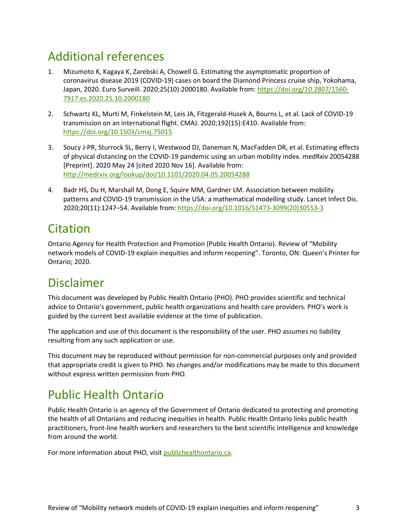### Additional references

- 1. Mizumoto K, Kagaya K, Zarebski A, Chowell G. Estimating the asymptomatic proportion of coronavirus disease 2019 (COVID-19) cases on board the Diamond Princess cruise ship, Yokohama, Japan, 2020. Euro Surveill. 2020;25(10):2000180. Available from[: https://doi.org/10.2807/1560-](https://doi.org/10.2807/1560-7917.es.2020.25.10.2000180) [7917.es.2020.25.10.2000180](https://doi.org/10.2807/1560-7917.es.2020.25.10.2000180)
- 2. Schwartz KL, Murti M, Finkelstein M, Leis JA, Fitzgerald-Husek A, Bourns L, et al. Lack of COVID-19 transmission on an international flight. CMAJ. 2020;192(15):E410. Available from: <https://doi.org/10.1503/cmaj.75015>
- 3. Soucy J-PR, Sturrock SL, Berry I, Westwood DJ, Daneman N, MacFadden DR, et al. Estimating effects of physical distancing on the COVID-19 pandemic using an urban mobility index. medRxiv 20054288 [Preprint]. 2020 May 24 [cited 2020 Nov 16]. Available from: <http://medrxiv.org/lookup/doi/10.1101/2020.04.05.20054288>
- 4. Badr HS, Du H, Marshall M, Dong E, Squire MM, Gardner LM. Association between mobility patterns and COVID-19 transmission in the USA: a mathematical modelling study. Lancet Infect Dis. 2020;20(11):1247–54. Available from: [https://doi.org/10.1016/S1473-3099\(20\)30553-3](https://doi.org/10.1016/S1473-3099(20)30553-3)

### Citation

Ontario Agency for Health Protection and Promotion (Public Health Ontario). Review of "Mobility network models of COVID-19 explain inequities and inform reopening". Toronto, ON: Queen's Printer for Ontario; 2020.

### Disclaimer

This document was developed by Public Health Ontario (PHO). PHO provides scientific and technical advice to Ontario's government, public health organizations and health care providers. PHO's work is guided by the current best available evidence at the time of publication.

The application and use of this document is the responsibility of the user. PHO assumes no liability resulting from any such application or use.

This document may be reproduced without permission for non-commercial purposes only and provided that appropriate credit is given to PHO. No changes and/or modifications may be made to this document without express written permission from PHO.

# Public Health Ontario

Public Health Ontario is an agency of the Government of Ontario dedicated to protecting and promoting the health of all Ontarians and reducing inequities in health. Public Health Ontario links public health practitioners, front-line health workers and researchers to the best scientific intelligence and knowledge from around the world.

For more information about PHO, visit publichealthontario.ca.